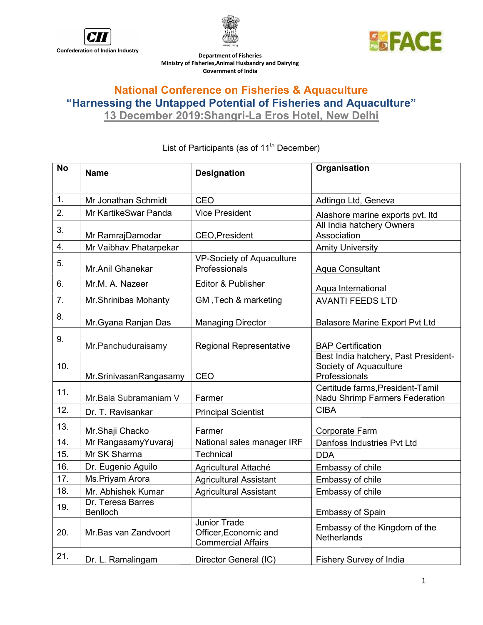





Ministry of Fisheries, Animal Husbandry and Dairying Department of Fisheries Government of India

## National Conference on Fisheries & Aquaculture "Harnessing the Untapped Potential of Fisheries and Aquaculture"

13 December 2019: 2019:Shangri-La Eros Hotel, New Delhi

| <b>No</b> | <b>Name</b>                          | <b>Designation</b>                                                        | Organisation                                                                    |
|-----------|--------------------------------------|---------------------------------------------------------------------------|---------------------------------------------------------------------------------|
| 1.        | Mr Jonathan Schmidt                  | CEO                                                                       | Adtingo Ltd, Geneva                                                             |
| 2.        | Mr KartikeSwar Panda                 | <b>Vice President</b>                                                     | Alashore marine exports pvt. Itd                                                |
| 3.        | Mr RamrajDamodar                     | <b>CEO, President</b>                                                     | All India hatchery Owners<br>Association                                        |
| 4.        | Mr Vaibhav Phatarpekar               |                                                                           | <b>Amity University</b>                                                         |
| 5.        | Mr.Anil Ghanekar                     | <b>VP-Society of Aquaculture</b><br>Professionals                         | Aqua Consultant                                                                 |
| 6.        | Mr.M. A. Nazeer                      | Editor & Publisher                                                        | Aqua International                                                              |
| 7.        | Mr.Shrinibas Mohanty                 | GM, Tech & marketing                                                      | <b>AVANTI FEEDS LTD</b>                                                         |
| 8.        | Mr. Gyana Ranjan Das                 | <b>Managing Director</b>                                                  | <b>Balasore Marine Export Pvt Ltd</b>                                           |
| 9.        | Mr.Panchuduraisamy                   | <b>Regional Representative</b>                                            | <b>BAP Certification</b>                                                        |
| 10.       | Mr.SrinivasanRangasamy               | CEO                                                                       | Best India hatchery, Past President-<br>Society of Aquaculture<br>Professionals |
| 11.       | Mr.Bala Subramaniam V                | Farmer                                                                    | Certitude farms, President-Tamil<br>Nadu Shrimp Farmers Federation              |
| 12.       | Dr. T. Ravisankar                    | <b>Principal Scientist</b>                                                | <b>CIBA</b>                                                                     |
| 13.       | Mr.Shaji Chacko                      | Farmer                                                                    | <b>Corporate Farm</b>                                                           |
| 14.       | Mr RangasamyYuvaraj                  | National sales manager IRF                                                | Danfoss Industries Pvt Ltd                                                      |
| 15.       | Mr SK Sharma                         | Technical                                                                 | <b>DDA</b>                                                                      |
| 16.       | Dr. Eugenio Aguilo                   | Agricultural Attaché                                                      | Embassy of chile                                                                |
| 17.       | Ms.Priyam Arora                      | <b>Agricultural Assistant</b>                                             | Embassy of chile                                                                |
| 18.       | Mr. Abhishek Kumar                   | <b>Agricultural Assistant</b>                                             | Embassy of chile                                                                |
| 19.       | Dr. Teresa Barres<br><b>Benlloch</b> |                                                                           | <b>Embassy of Spain</b>                                                         |
| 20.       | Mr.Bas van Zandvoort                 | <b>Junior Trade</b><br>Officer, Economic and<br><b>Commercial Affairs</b> | Embassy of the Kingdom of the<br><b>Netherlands</b>                             |
| 21.       | Dr. L. Ramalingam                    | Director General (IC)                                                     | Fishery Survey of India                                                         |

List of Participants (as of 11<sup>th</sup> December)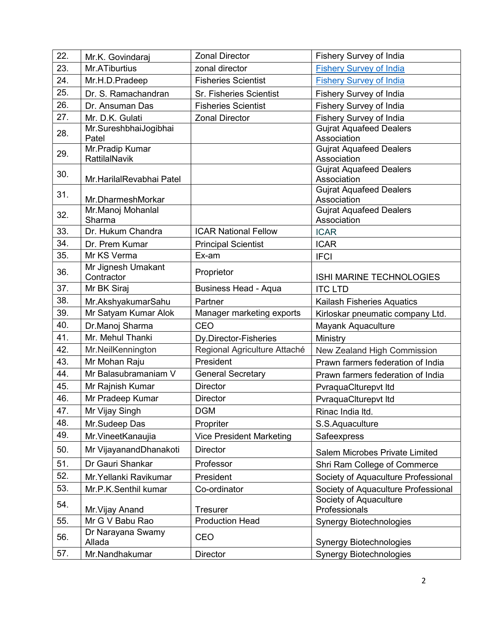| 22. | Mr.K. Govindaraj            | <b>Zonal Director</b>           | Fishery Survey of India                       |
|-----|-----------------------------|---------------------------------|-----------------------------------------------|
| 23. | Mr.ATiburtius               | zonal director                  | <b>Fishery Survey of India</b>                |
| 24. | Mr.H.D.Pradeep              | <b>Fisheries Scientist</b>      | <b>Fishery Survey of India</b>                |
| 25. | Dr. S. Ramachandran         | Sr. Fisheries Scientist         | Fishery Survey of India                       |
| 26. | Dr. Ansuman Das             | <b>Fisheries Scientist</b>      | Fishery Survey of India                       |
| 27. | Mr. D.K. Gulati             | <b>Zonal Director</b>           | Fishery Survey of India                       |
| 28. | Mr.SureshbhaiJogibhai       |                                 | <b>Gujrat Aquafeed Dealers</b>                |
|     | Patel<br>Mr. Pradip Kumar   |                                 | Association                                   |
| 29. | RattilalNavik               |                                 | <b>Gujrat Aquafeed Dealers</b><br>Association |
|     |                             |                                 | <b>Gujrat Aquafeed Dealers</b>                |
| 30. | Mr.HarilalRevabhai Patel    |                                 | Association                                   |
| 31. |                             |                                 | <b>Gujrat Aquafeed Dealers</b>                |
|     | Mr.DharmeshMorkar           |                                 | Association                                   |
| 32. | Mr.Manoj Mohanlal<br>Sharma |                                 | <b>Gujrat Aquafeed Dealers</b><br>Association |
| 33. | Dr. Hukum Chandra           | <b>ICAR National Fellow</b>     | <b>ICAR</b>                                   |
| 34. | Dr. Prem Kumar              | <b>Principal Scientist</b>      | <b>ICAR</b>                                   |
| 35. | Mr KS Verma                 | Ex-am                           | <b>IFCI</b>                                   |
|     | Mr Jignesh Umakant          |                                 |                                               |
| 36. | Contractor                  | Proprietor                      | ISHI MARINE TECHNOLOGIES                      |
| 37. | Mr BK Siraj                 | <b>Business Head - Aqua</b>     | <b>ITC LTD</b>                                |
| 38. | Mr.AkshyakumarSahu          | Partner                         | Kailash Fisheries Aquatics                    |
| 39. | Mr Satyam Kumar Alok        | Manager marketing exports       | Kirloskar pneumatic company Ltd.              |
| 40. | Dr.Manoj Sharma             | CEO                             | Mayank Aquaculture                            |
| 41. | Mr. Mehul Thanki            | Dy.Director-Fisheries           | Ministry                                      |
| 42. | Mr.NeilKennington           | Regional Agriculture Attaché    | New Zealand High Commission                   |
| 43. | Mr Mohan Raju               | President                       | Prawn farmers federation of India             |
| 44. | Mr Balasubramaniam V        | <b>General Secretary</b>        | Prawn farmers federation of India             |
| 45. | Mr Rajnish Kumar            | <b>Director</b>                 | PvraquaClturepvt Itd                          |
| 46. | Mr Pradeep Kumar            | <b>Director</b>                 | PvraquaClturepvt Itd                          |
| 47. | Mr Vijay Singh              | <b>DGM</b>                      | Rinac India Itd.                              |
| 48. | Mr.Sudeep Das               | Propriter                       | S.S.Aquaculture                               |
| 49. | Mr. VineetKanaujia          | <b>Vice President Marketing</b> | Safeexpress                                   |
| 50. | Mr VijayanandDhanakoti      | <b>Director</b>                 | Salem Microbes Private Limited                |
| 51. | Dr Gauri Shankar            | Professor                       | Shri Ram College of Commerce                  |
| 52. | Mr. Yellanki Ravikumar      | President                       | Society of Aquaculture Professional           |
| 53. | Mr.P.K.Senthil kumar        | Co-ordinator                    | Society of Aquaculture Professional           |
| 54. |                             |                                 | Society of Aquaculture                        |
|     | Mr. Vijay Anand             | <b>Tresurer</b>                 | Professionals                                 |
| 55. | Mr G V Babu Rao             | <b>Production Head</b>          | <b>Synergy Biotechnologies</b>                |
| 56. | Dr Narayana Swamy<br>Allada | CEO                             | <b>Synergy Biotechnologies</b>                |
| 57. | Mr.Nandhakumar              | <b>Director</b>                 | <b>Synergy Biotechnologies</b>                |